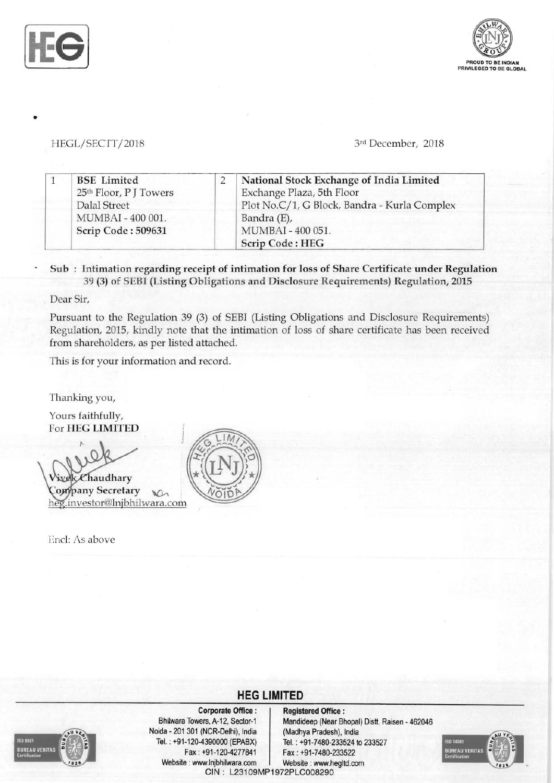

•



## **I-IEGL/SECTT/2018** 3rd December, 2018

| <b>BSE</b> Limited                                 | National Stock Exchange of India Limited     |
|----------------------------------------------------|----------------------------------------------|
| 25 <sup>th</sup> Floor, P J Towers<br>Dalal Street | Exchange Plaza, 5th Floor                    |
| MUMBAI - 400 001.                                  | Plot No.C/1, G Block, Bandra - Kurla Complex |
| Scrip Code: 509631                                 | Bandra (E),<br>MUMBAI - 400 051.             |
|                                                    | <b>Scrip Code: HEG</b>                       |

## Sub: Intimation regarding receipt of intimation for loss of Share Certificate under Regulation 39 (3) of SEBI (Listing Obligations and Disclosure Requirements) Regulation, 2015

Dear Sir,

Pursuant to the Regulation 39 (3) of SEBI (Listing Obligations and Disclosure Requirements) Regulation, 2015, kindly note that the intimation of loss of share certificate has been received from shareholders, as per listed attached.

This is for your information and record.

Thanking you,

Yours faithfully, For HEG LIMITED

 $\&$ Chaudhary Company Secretary heg.investor@lnjbhilwara.com

Encl: As above



## **HEG LIMITED**



Noida - 201 301 (NCR-Delhi), India Fax: +91-1204277841 Fax: +91-7480-233522 Website: www.lnjbhilwara.com | Website: www.hegltd.com

Corporate Office: | Registered Office: Bhilwara Towers, A-12, Sector-1 Mandideep (Near Bhopal) Distt. Raisen - 462046<br>ida - 201 301 (NCR-Delhi), India (Madhya Pradesh), India Tel. : +91-1204390000 (EPABX) Tel. : +91-7480-233524 to 233527 GIN: L23109MP1972PLG008290

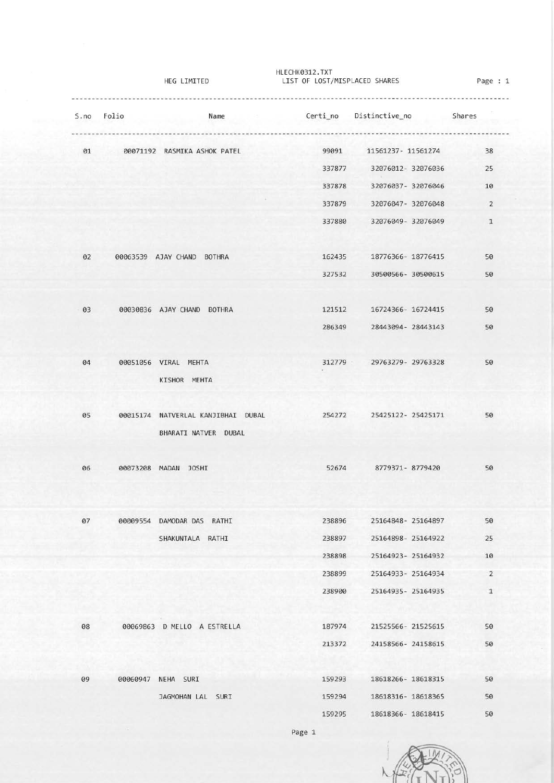|      | HEG LIMITED |                                         | HLECHK0312.TXT<br>LIST OF LOST/MISPLACED SHARES | Page : 1                               |                |
|------|-------------|-----------------------------------------|-------------------------------------------------|----------------------------------------|----------------|
| S.no | Folio       | Name                                    |                                                 | Certi_no Distinctive_no                | Shares         |
| 01   |             | 00071192 RASMIKA ASHOK PATEL            | 99091                                           | 11561237-11561274                      | 38             |
|      |             |                                         | 337877                                          | 32076012-32076036                      | 25             |
|      |             |                                         | 337878                                          | 32076037-32076046                      | 10             |
|      |             |                                         | 337879                                          | 32076047- 32076048                     | $\overline{2}$ |
|      |             |                                         | 337880                                          | 32076049-32076049                      | $\mathbf{1}$   |
| 02   |             | 00063539 AJAY CHAND BOTHRA              | 162435                                          | 18776366- 18776415                     | 50             |
|      |             |                                         | 327532                                          | 30500566- 30500615                     | 50             |
| 03   |             | 00030836 AJAY CHAND BOTHRA              | 121512                                          | 16724366-16724415                      | 50             |
|      |             |                                         | 286349                                          | 28443094-28443143                      | 50             |
| 04   |             | 00051056 VIRAL MEHTA                    | 312779                                          | 29763279-29763328                      | 50             |
|      |             | KISHOR MEHTA                            |                                                 |                                        |                |
| 05   |             | 00015174 NATVERLAL KANJIBHAI DUBAL      | 254272                                          | 25425122-25425171                      | 50             |
|      |             | BHARATI NATVER DUBAL                    |                                                 |                                        |                |
| 06   |             | 00073208 MADAN JOSHI                    | 52674                                           | 8779371-8779420                        | 50             |
| 07   |             | 00009554 DAMODAR DAS RATHI              | 238896                                          | 25164848-25164897                      | 50             |
|      |             | SHAKUNTALA RATHI                        | 238897                                          | 25164898-25164922                      | 25             |
|      |             |                                         | 238898                                          | 25164923-25164932                      | 10             |
|      |             |                                         | 238899                                          | 25164933-25164934                      | 2              |
|      |             |                                         | 238900                                          | 25164935-25164935                      | $\mathbf{1}$   |
| 08   |             | 00069863 D MELLO A ESTRELLA             | 187974                                          | 21525566-21525615                      | 50             |
|      |             |                                         | 213372                                          | 24158566-24158615                      | 50             |
|      |             |                                         |                                                 |                                        |                |
| 09   |             | 00060947 NEHA SURI<br>JAGMOHAN LAL SURI | 159293<br>159294                                | 18618266-18618315<br>18618316-18618365 | 50<br>50       |
|      |             |                                         | 159295                                          | 18618366-18618415                      | 50             |
|      |             |                                         |                                                 |                                        |                |

Page 1

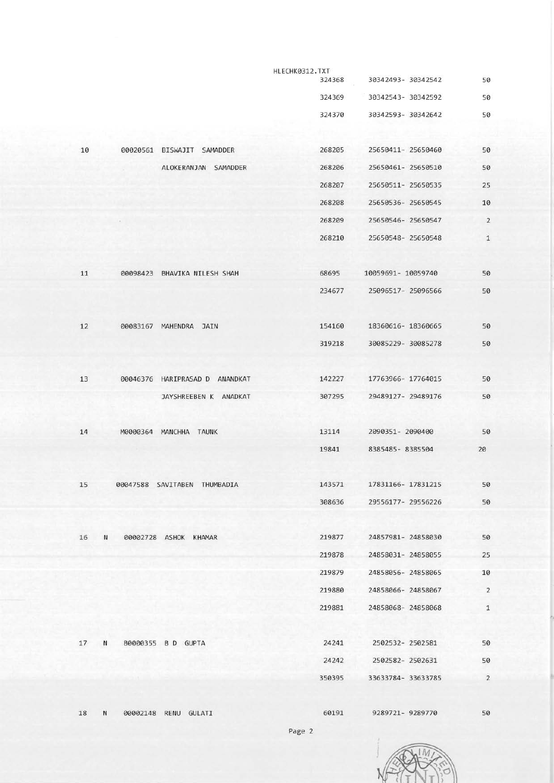|    |                                | HLECHK0312.TXT |                    |                |
|----|--------------------------------|----------------|--------------------|----------------|
|    |                                | 324368         | 30342493-30342542  | 50             |
|    |                                | 324369         | 30342543-30342592  | 50             |
|    |                                | 324370         | 30342593-30342642  | 50             |
|    |                                |                |                    |                |
| 10 | 00020561 BISWAJIT SAMADDER     | 268205         | 25650411- 25650460 | 50             |
|    | ALOKERANJAN SAMADDER           | 268206         | 25650461-25650510  | 50             |
|    |                                | 268207         | 25650511-25650535  | 25             |
|    |                                | 268208         | 25650536-25650545  | 10             |
|    |                                | 268209         | 25650546-25650547  | $\overline{2}$ |
|    |                                | 268210         | 25650548-25650548  | $\mathbf{1}$   |
|    |                                |                |                    |                |
| 11 | 00098423 BHAVIKA NILESH SHAH   | 68695          | 10059691- 10059740 | 50             |
|    |                                | 234677         | 25096517-25096566  | 50             |
|    |                                |                |                    |                |
|    |                                |                |                    |                |
| 12 | 00083167 MAHENDRA JAIN         | 154160         | 18360616-18360665  | 50             |
|    |                                | 319218         | 30085229-30085278  | 50             |
|    |                                |                |                    |                |
| 13 | 00046376 HARIPRASAD D ANANDKAT | 142227         | 17763966- 17764015 | 50             |
|    | JAYSHREEBEN K ANADKAT          | 307295         | 29489127-29489176  | 50             |
|    |                                |                |                    |                |
| 14 | M0000364 MANCHHA TAUNK         | 13114          | 2090351-2090400    | 50             |
|    |                                | 19841          | 8385485-8385504    | 20             |
|    |                                |                |                    |                |
| 15 | 00047588 SAVITABEN THUMBADIA   | 143571         | 17831166-17831215  | 50             |
|    |                                | 308636         | 29556177-29556226  | 50             |
|    |                                |                |                    |                |
| 16 | N<br>00002728 ASHOK KHAMAR     | 219877         | 24857981-24858030  | 50             |
|    |                                | 219878         | 24858031-24858055  | 25             |
|    |                                | 219879         | 24858056-24858065  | 10             |
|    |                                | 219880         | 24858066-24858067  | $\overline{2}$ |
|    |                                | 219881         | 24858068-24858068  | $\mathbf{1}$   |
|    |                                |                |                    |                |
| 17 | N<br>B0000355 B D GUPTA        | 24241          | 2502532-2502581    | 50             |
|    |                                | 24242          | 2502582-2502631    | 50             |
|    |                                |                |                    |                |
|    |                                | 350395         | 33633784-33633785  | $\overline{2}$ |
|    |                                |                |                    |                |
| 18 | N<br>00002148 RENU GULATI      | 60191          | 9289721-9289770    | 50             |
|    |                                | Page 2         |                    |                |